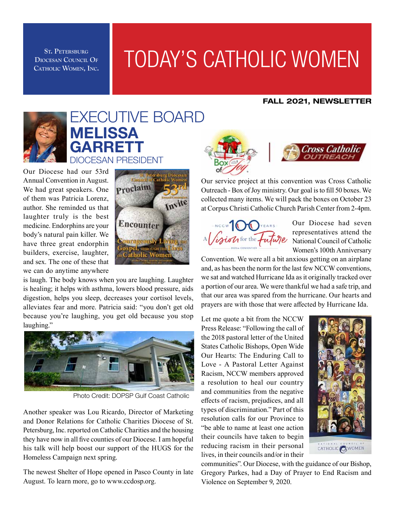**Diocesan Council Of Catholic Women, Inc.**

## ST. PETERSBURG<br>OCESAN COUNCIL OF **TODAY'S CATHOLIC WOMEN**

#### FALL 2021, NEWSLETTER



### EXECUTIVE BOARD Melissa **GARRETT** DIOCESAN PRESIDENT

Our Diocese had our 53rd Annual Convention in August. We had great speakers. One of them was Patricia Lorenz, author. She reminded us that laughter truly is the best medicine. Endorphins are your body's natural pain killer. We have three great endorphin builders, exercise, laughter, and sex. The one of these that we can do anytime anywhere



is laugh. The body knows when you are laughing. Laughter is healing; it helps with asthma, lowers blood pressure, aids digestion, helps you sleep, decreases your cortisol levels, alleviates fear and more. Patricia said: "you don't get old because you're laughing, you get old because you stop laughing."



Photo Credit: DOPSP Gulf Coast Catholic

Another speaker was Lou Ricardo, Director of Marketing and Donor Relations for Catholic Charities Diocese of St. Petersburg, Inc. reported on Catholic Charities and the housing they have now in all five counties of our Diocese. I am hopeful his talk will help boost our support of the HUGS for the Homeless Campaign next spring.

The newest Shelter of Hope opened in Pasco County in late August. To learn more, go to www.ccdosp.org.



Our service project at this convention was Cross Catholic Outreach - Box of Joy ministry. Our goal is to fill 50 boxes. We collected many items. We will pack the boxes on October 23 at Corpus Christi Catholic Church Parish Center from 2-4pm.



Our Diocese had seven representatives attend the National Council of Catholic Women's 100th Anniversary

Convention. We were all a bit anxious getting on an airplane and, as has been the norm for the last few NCCW conventions, we sat and watched Hurricane Ida as it originally tracked over a portion of our area. We were thankful we had a safe trip, and that our area was spared from the hurricane. Our hearts and prayers are with those that were affected by Hurricane Ida.

Let me quote a bit from the NCCW Press Release: "Following the call of the 2018 pastoral letter of the United States Catholic Bishops, Open Wide Our Hearts: The Enduring Call to Love - A Pastoral Letter Against Racism, NCCW members approved a resolution to heal our country and communities from the negative effects of racism, prejudices, and all types of discrimination." Part of this resolution calls for our Province to "be able to name at least one action their councils have taken to begin reducing racism in their personal lives, in their councils and/or in their



communities". Our Diocese, with the guidance of our Bishop, Gregory Parkes, had a Day of Prayer to End Racism and Violence on September 9, 2020.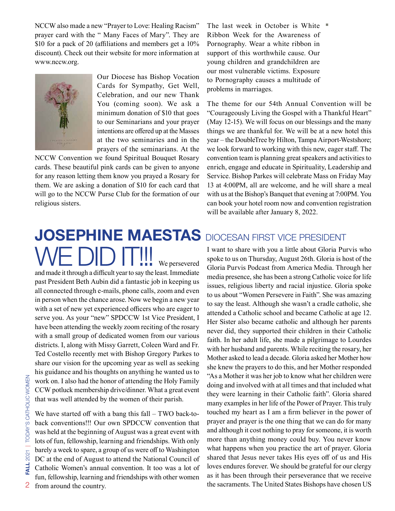NCCW also made a new "Prayer to Love: Healing Racism" prayer card with the " Many Faces of Mary". They are \$10 for a pack of 20 (affiliations and members get a 10% discount). Check out their website for more information at www.nccw.org.



Our Diocese has Bishop Vocation Cards for Sympathy, Get Well, Celebration, and our new Thank You (coming soon). We ask a minimum donation of \$10 that goes to our Seminarians and your prayer intentions are offered up at the Masses at the two seminaries and in the prayers of the seminarians. At the

NCCW Convention we found Spiritual Bouquet Rosary cards. These beautiful pink cards can be given to anyone for any reason letting them know you prayed a Rosary for them. We are asking a donation of \$10 for each card that will go to the NCCW Purse Club for the formation of our religious sisters.

## **JOSEPHINE MAESTAS** DIOCESAN FIRST VICE PRESIDENT  $\textcolor{red}{\text{V}}\textcolor{red}{\text{E}}$   $\textcolor{red}{\text{D}}\textcolor{red}{\text{D}}$   $\textcolor{red}{\text{I}}\textcolor{red}{\text{T}}\textcolor{red}{\text{III}}$  we persevered

and made it through a difficult year to say the least. Immediate past President Beth Aubin did a fantastic job in keeping us all connected through e-mails, phone calls, zoom and even in person when the chance arose. Now we begin a new year with a set of new yet experienced officers who are eager to serve you. As your "new" SPDCCW 1st Vice President, I have been attending the weekly zoom reciting of the rosary with a small group of dedicated women from our various districts. I, along with Missy Garrett, Coleen Ward and Fr. Ted Costello recently met with Bishop Gregory Parkes to share our vision for the upcoming year as well as seeking his guidance and his thoughts on anything he wanted us to work on. I also had the honor of attending the Holy Family CCW potluck membership drive/dinner. What a great event that was well attended by the women of their parish.

We have started off with a bang this fall – TWO back-toback conventions!!! Our own SPDCCW convention that was held at the beginning of August was a great event with lots of fun, fellowship, learning and friendships. With only barely a week to spare, a group of us were off to Washington DC at the end of August to attend the National Council of Catholic Women's annual convention. It too was a lot of fun, fellowship, learning and friendships with other women from around the country.

The last week in October is White  $\blacksquare$ Ribbon Week for the Awareness of Pornography. Wear a white ribbon in support of this worthwhile cause. Our young children and grandchildren are our most vulnerable victims. Exposure to Pornography causes a multitude of problems in marriages.

The theme for our 54th Annual Convention will be "Courageously Living the Gospel with a Thankful Heart" (May 12-15). We will focus on our blessings and the many things we are thankful for. We will be at a new hotel this year – the DoubleTree by Hilton, Tampa Airport-Westshore; we look forward to working with this new, eager staff. The convention team is planning great speakers and activities to enrich, engage and educate in Spirituality, Leadership and Service. Bishop Parkes will celebrate Mass on Friday May 13 at 4:00PM, all are welcome, and he will share a meal with us at the Bishop's Banquet that evening at 7:00PM. You can book your hotel room now and convention registration will be available after January 8, 2022.

I want to share with you a little about Gloria Purvis who spoke to us on Thursday, August 26th. Gloria is host of the Gloria Purvis Podcast from America Media. Through her media presence, she has been a strong Catholic voice for life issues, religious liberty and racial injustice. Gloria spoke to us about "Women Persevere in Faith". She was amazing to say the least. Although she wasn't a cradle catholic, she attended a Catholic school and became Catholic at age 12. Her Sister also became catholic and although her parents never did, they supported their children in their Catholic faith. In her adult life, she made a pilgrimage to Lourdes with her husband and parents. While reciting the rosary, her Mother asked to lead a decade. Gloria asked her Mother how she knew the prayers to do this, and her Mother responded "As a Mother it was her job to know what her children were doing and involved with at all times and that included what they were learning in their Catholic faith". Gloria shared many examples in her life of the Power of Prayer. This truly touched my heart as I am a firm believer in the power of prayer and prayer is the one thing that we can do for many and although it cost nothing to pray for someone, it is worth more than anything money could buy. You never know what happens when you practice the art of prayer. Gloria shared that Jesus never takes His eyes off of us and His loves endures forever. We should be grateful for our clergy as it has been through their perseverance that we receive the sacraments. The United States Bishops have chosen US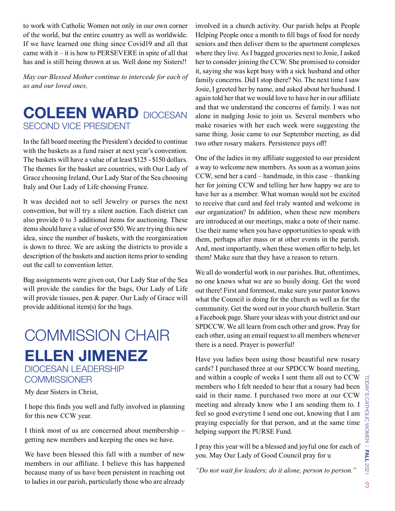to work with Catholic Women not only in our own corner of the world, but the entire country as well as worldwide. If we have learned one thing since Covid19 and all that came with it – it is how to PERSEVERE in spite of all that has and is still being thrown at us. Well done my Sisters!!

*May our Blessed Mother continue to intercede for each of us and our loved ones,*

### **COLEEN WARD DIOCESAN** SECOND Vice President

In the fall board meeting the President's decided to continue with the baskets as a fund raiser at next year's convention. The baskets will have a value of at least \$125 - \$150 dollars. The themes for the basket are countries, with Our Lady of Grace choosing Ireland, Our Lady Star of the Sea choosing Italy and Our Lady of Life choosing France.

It was decided not to sell Jewelry or purses the next convention, but will try a silent auction. Each district can also provide 0 to 3 additional items for auctioning. These items should have a value of over \$50. We are trying this new idea, since the number of baskets, with the reorganization is down to three. We are asking the districts to provide a description of the baskets and auction items prior to sending out the call to convention letter.

Bag assignments were given out, Our Lady Star of the Sea will provide the candies for the bags, Our Lady of Life will provide tissues, pen & paper. Our Lady of Grace will provide additional item(s) for the bags.

### Ellen Jimenez DIOCESAN LEADERSHIP COMMISSION CHAIR

**COMMISSIONER** 

My dear Sisters in Christ,

I hope this finds you well and fully involved in planning for this new CCW year.

I think most of us are concerned about membership – getting new members and keeping the ones we have.

We have been blessed this fall with a number of new members in our affiliate. I believe this has happened because many of us have been persistent in reaching out to ladies in our parish, particularly those who are already involved in a church activity. Our parish helps at People Helping People once a month to fill bags of food for needy seniors and then deliver them to the apartment complexes where they live. As I bagged groceries next to Josie, I asked her to consider joining the CCW. She promised to consider it, saying she was kept busy with a sick husband and other family concerns. Did I stop there? No. The next time I saw Josie, I greeted her by name, and asked about her husband. I again told her that we would love to have her in our affiliate and that we understand the concerns of family. I was not alone in nudging Josie to join us. Several members who make rosaries with her each week were suggesting the same thing. Josie came to our September meeting, as did two other rosary makers. Persistence pays off!

One of the ladies in my affiliate suggested to our president a way to welcome new members. As soon as a woman joins CCW, send her a card – handmade, in this case – thanking her for joining CCW and telling her how happy we are to have her as a member. What woman would not be excited to receive that card and feel truly wanted and welcome in our organization? In addition, when these new members are introduced at our meetings, make a note of their name. Use their name when you have opportunities to speak with them, perhaps after mass or at other events in the parish. And, most importantly, when these women offer to help, let them! Make sure that they have a reason to return.

We all do wonderful work in our parishes. But, oftentimes, no one knows what we are so busily doing. Get the word out there! First and foremost, make sure your pastor knows what the Council is doing for the church as well as for the community. Get the word out in your church bulletin. Start a Facebook page. Share your ideas with your district and our SPDCCW. We all learn from each other and grow. Pray for each other, using an email request to all members whenever there is a need. Prayer is powerful!

Have you ladies been using those beautiful new rosary cards? I purchased three at our SPDCCW board meeting, and within a couple of weeks I sent them all out to CCW members who I felt needed to hear that a rosary had been said in their name. I purchased two more at our CCW meeting and already know who I am sending them to. I feel so good everytime I send one out, knowing that I am praying especially for that person, and at the same time helping support the PURSE Fund.

I pray this year will be a blessed and joyful one for each of you. May Our Lady of Good Council pray for u

*"Do not wait for leaders; do it alone, person to person."*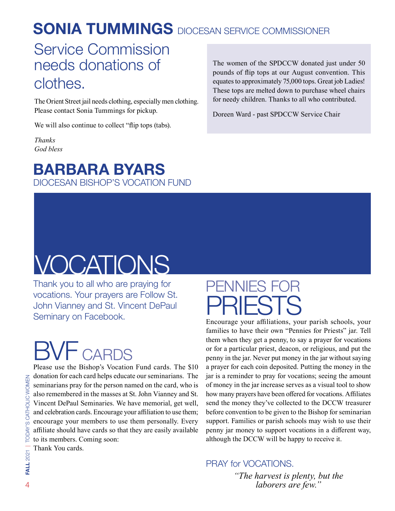## **SONIA TUMMINGS** DIOCESAN SERVICE COMMISSIONER

### Service Commission needs donations of clothes.

The Orient Street jail needs clothing, especially men clothing. Please contact Sonia Tummings for pickup.

We will also continue to collect "flip tops (tabs).

*Thanks God bless*

### Barbara Byars DIOCESAN BISHOP'S VOCATION FUND

The women of the SPDCCW donated just under 50 pounds of flip tops at our August convention. This equates to approximately 75,000 tops. Great job Ladies! These tops are melted down to purchase wheel chairs for needy children. Thanks to all who contributed.

Doreen Ward - past SPDCCW Service Chair

## VOCATIONS

Thank you to all who are praying for vocations. Your prayers are Follow St. John Vianney and St. Vincent DePaul Seminary on Facebook.

# CARDS

Please use the Bishop's Vocation Fund cards. The \$10 donation for each card helps educate our seminarians. The seminarians pray for the person named on the card, who is also remembered in the masses at St. John Vianney and St. Vincent DePaul Seminaries. We have memorial, get well, and celebration cards. Encourage your affiliation to use them; encourage your members to use them personally. Every affiliate should have cards so that they are easily available to its members. Coming soon: Thank You cards.

## PENNIES FOR PRIESTS

Encourage your affiliations, your parish schools, your families to have their own "Pennies for Priests" jar. Tell them when they get a penny, to say a prayer for vocations or for a particular priest, deacon, or religious, and put the penny in the jar. Never put money in the jar without saying a prayer for each coin deposited. Putting the money in the jar is a reminder to pray for vocations; seeing the amount of money in the jar increase serves as a visual tool to show how many prayers have been offered for vocations. Affiliates send the money they've collected to the DCCW treasurer before convention to be given to the Bishop for seminarian support. Families or parish schools may wish to use their penny jar money to support vocations in a different way, although the DCCW will be happy to receive it.

### PRAY for VOCATIONS.

*"The harvest is plenty, but the laborers are few."*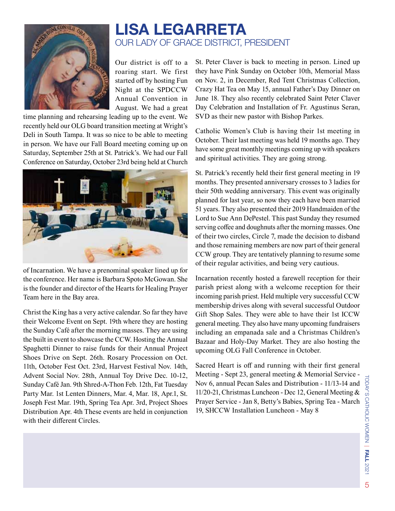

### Lisa Legarreta Our Lady of Grace District, President

Our district is off to a roaring start. We first started off by hosting Fun Night at the SPDCCW Annual Convention in August. We had a great

time planning and rehearsing leading up to the event. We recently held our OLG board transition meeting at Wright's Deli in South Tampa. It was so nice to be able to meeting in person. We have our Fall Board meeting coming up on Saturday, September 25th at St. Patrick's. We had our Fall Conference on Saturday, October 23rd being held at Church



of Incarnation. We have a prenominal speaker lined up for the conference. Her name is Barbara Spoto McGowan. She is the founder and director of the Hearts for Healing Prayer Team here in the Bay area.

Christ the King has a very active calendar. So far they have their Welcome Event on Sept. 19th where they are hosting the Sunday Café after the morning masses. They are using the built in event to showcase the CCW. Hosting the Annual Spaghetti Dinner to raise funds for their Annual Project Shoes Drive on Sept. 26th. Rosary Procession on Oct. 11th, October Fest Oct. 23rd, Harvest Festival Nov. 14th, Advent Social Nov. 28th, Annual Toy Drive Dec. 10-12, Sunday Café Jan. 9th Shred-A-Thon Feb. 12th, Fat Tuesday Party Mar. 1st Lenten Dinners, Mar. 4, Mar. 18, Apr.1, St. Joseph Fest Mar. 19th, Spring Tea Apr. 3rd, Project Shoes Distribution Apr. 4th These events are held in conjunction with their different Circles.

St. Peter Claver is back to meeting in person. Lined up they have Pink Sunday on October 10th, Memorial Mass on Nov. 2, in December, Red Tent Christmas Collection, Crazy Hat Tea on May 15, annual Father's Day Dinner on June 18. They also recently celebrated Saint Peter Claver Day Celebration and Installation of Fr. Agustinus Seran, SVD as their new pastor with Bishop Parkes.

Catholic Women's Club is having their 1st meeting in October. Their last meeting was held 19 months ago. They have some great monthly meetings coming up with speakers and spiritual activities. They are going strong.

St. Patrick's recently held their first general meeting in 19 months. They presented anniversary crosses to 3 ladies for their 50th wedding anniversary. This event was originally planned for last year, so now they each have been married 51 years. They also presented their 2019 Handmaiden of the Lord to Sue Ann DePestel. This past Sunday they resumed serving coffee and doughnuts after the morning masses. One of their two circles, Circle 7, made the decision to disband and those remaining members are now part of their general CCW group. They are tentatively planning to resume some of their regular activities, and being very cautious.

Incarnation recently hosted a farewell reception for their parish priest along with a welcome reception for their incoming parish priest. Held multiple very successful CCW membership drives along with several successful Outdoor Gift Shop Sales. They were able to have their 1st ICCW general meeting. They also have many upcoming fundraisers including an empanada sale and a Christmas Children's Bazaar and Holy-Day Market. They are also hosting the upcoming OLG Fall Conference in October.

Sacred Heart is off and running with their first general Meeting - Sept 23, general meeting & Memorial Service - Nov 6, annual Pecan Sales and Distribution - 11/13-14 and 11/20-21, Christmas Luncheon - Dec 12, General Meeting & Prayer Service - Jan 8, Betty's Babies, Spring Tea - March 19, SHCCW Installation Luncheon - May 8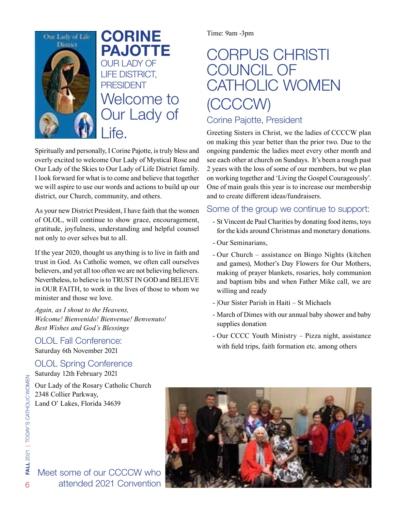

Welcome to Our Lady of Life. CORINE PAJOTTE OUR LADY OF LIFE District, **PRESIDENT** 

Spiritually and personally, I Corine Pajotte, is truly bless and overly excited to welcome Our Lady of Mystical Rose and Our Lady of the Skies to Our Lady of Life District family. I look forward for what is to come and believe that together we will aspire to use our words and actions to build up our district, our Church, community, and others.

As your new District President, I have faith that the women of OLOL, will continue to show grace, encouragement, gratitude, joyfulness, understanding and helpful counsel not only to over selves but to all.

If the year 2020, thought us anything is to live in faith and trust in God. As Catholic women, we often call ourselves believers, and yet all too often we are not believing believers. Nevertheless, to believe is to TRUST IN GOD and BELIEVE in OUR FAITH, to work in the lives of those to whom we minister and those we love.

*Again, as I shout to the Heavens, Welcome! Bienvenido! Bienvenue! Benvenuto! Best Wishes and God's Blessings* 

OLOL Fall Conference: Saturday 6th November 2021

OLOL Spring Conference

Saturday 12th February 2021

Our Lady of the Rosary Catholic Church 2348 Collier Parkway, Land O' Lakes, Florida 34639

Time: 9am -3pm

## CORPUS CHRISTI COUNCIL OF CATHOLIC WOMEN (CCCCW)

### Corine Pajotte, President

Greeting Sisters in Christ, we the ladies of CCCCW plan on making this year better than the prior two. Due to the ongoing pandemic the ladies meet every other month and see each other at church on Sundays. It's been a rough past 2 years with the loss of some of our members, but we plan on working together and 'Living the Gospel Courageously'. One of main goals this year is to increase our membership and to create different ideas/fundraisers.

### Some of the group we continue to support:

- St Vincent de Paul Charities by donating food items, toys for the kids around Christmas and monetary donations.
- Our Seminarians,
- Our Church assistance on Bingo Nights (kitchen and games), Mother's Day Flowers for Our Mothers, making of prayer blankets, rosaries, holy communion and baptism bibs and when Father Mike call, we are willing and ready
- |Our Sister Parish in Haiti St Michaels
- March of Dimes with our annual baby shower and baby supplies donation
- Our CCCC Youth Ministry Pizza night, assistance with field trips, faith formation etc. among others



Meet some of our CCCCW who attended 2021 Convention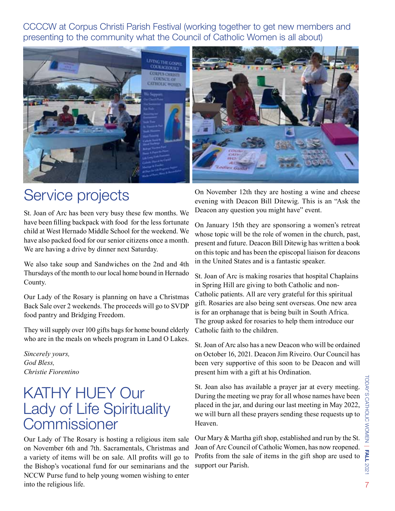CCCCW at Corpus Christi Parish Festival (working together to get new members and presenting to the community what the Council of Catholic Women is all about)



### Service projects

St. Joan of Arc has been very busy these few months. We have been filling backpack with food for the less fortunate child at West Hernado Middle School for the weekend. We have also packed food for our senior citizens once a month. We are having a drive by dinner next Saturday.

We also take soup and Sandwiches on the 2nd and 4th Thursdays of the month to our local home bound in Hernado County.

Our Lady of the Rosary is planning on have a Christmas Back Sale over 2 weekends. The proceeds will go to SVDP food pantry and Bridging Freedom.

They will supply over 100 gifts bags for home bound elderly who are in the meals on wheels program in Land O Lakes.

*Sincerely yours, God Bless, Christie Fiorentino*

### KATHY HUEY Our Lady of Life Spirituality **Commissioner**

Our Lady of The Rosary is hosting a religious item sale on November 6th and 7th. Sacramentals, Christmas and a variety of items will be on sale. All profits will go to the Bishop's vocational fund for our seminarians and the NCCW Purse fund to help young women wishing to enter into the religious life.

On November 12th they are hosting a wine and cheese evening with Deacon Bill Ditewig. This is an "Ask the Deacon any question you might have" event.

On January 15th they are sponsoring a women's retreat whose topic will be the role of women in the church, past, present and future. Deacon Bill Ditewig has written a book on this topic and has been the episcopal liaison for deacons in the United States and is a fantastic speaker.

St. Joan of Arc is making rosaries that hospital Chaplains in Spring Hill are giving to both Catholic and non-Catholic patients. All are very grateful for this spiritual gift. Rosaries are also being sent overseas. One new area is for an orphanage that is being built in South Africa. The group asked for rosaries to help them introduce our Catholic faith to the children.

St. Joan of Arc also has a new Deacon who will be ordained on October 16, 2021. Deacon Jim Riveiro. Our Council has been very supportive of this soon to be Deacon and will present him with a gift at his Ordination.

St. Joan also has available a prayer jar at every meeting. During the meeting we pray for all whose names have been placed in the jar, and during our last meeting in May 2022, we will burn all these prayers sending these requests up to Heaven.

Our Mary & Martha gift shop, established and run by the St. Joan of Arc Council of Catholic Women, has now reopened. Profits from the sale of items in the gift shop are used to support our Parish.